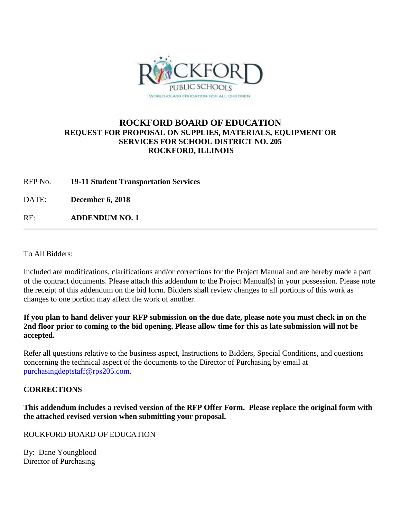

### **ROCKFORD BOARD OF EDUCATION REQUEST FOR PROPOSAL ON SUPPLIES, MATERIALS, EQUIPMENT OR SERVICES FOR SCHOOL DISTRICT NO. 205 ROCKFORD, ILLINOIS**

RFP No. **19-11 Student Transportation Services**

DATE: **December 6, 2018**

RE: **ADDENDUM NO. 1**

To All Bidders:

Included are modifications, clarifications and/or corrections for the Project Manual and are hereby made a part of the contract documents. Please attach this addendum to the Project Manual(s) in your possession. Please note the receipt of this addendum on the bid form. Bidders shall review changes to all portions of this work as changes to one portion may affect the work of another.

#### **If you plan to hand deliver your RFP submission on the due date, please note you must check in on the 2nd floor prior to coming to the bid opening. Please allow time for this as late submission will not be accepted.**

Refer all questions relative to the business aspect, Instructions to Bidders, Special Conditions, and questions concerning the technical aspect of the documents to the Director of Purchasing by email at [purchasingdeptstaff@rps205.com.](mailto:purchasingdeptstaff@rps205.com)

#### **CORRECTIONS**

**This addendum includes a revised version of the RFP Offer Form. Please replace the original form with the attached revised version when submitting your proposal.**

ROCKFORD BOARD OF EDUCATION

By: Dane Youngblood Director of Purchasing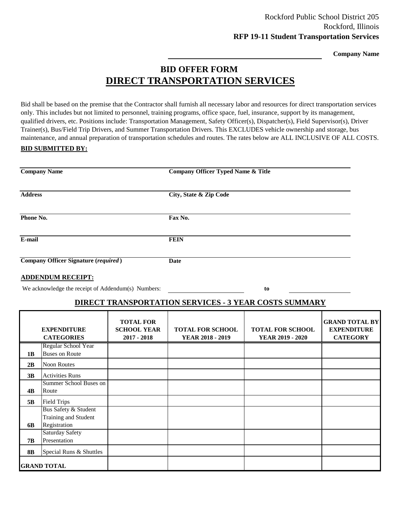**Company Name**

### **BID OFFER FORM DIRECT TRANSPORTATION SERVICES**

Bid shall be based on the premise that the Contractor shall furnish all necessary labor and resources for direct transportation services only. This includes but not limited to personnel, training programs, office space, fuel, insurance, support by its management, qualified drivers, etc. Positions include: Transportation Management, Safety Officer(s), Dispatcher(s), Field Supervisor(s), Driver Trainer(s), Bus/Field Trip Drivers, and Summer Transportation Drivers. This EXCLUDES vehicle ownership and storage, bus maintenance, and annual preparation of transportation schedules and routes. The rates below are ALL INCLUSIVE OF ALL COSTS.

#### **BID SUBMITTED BY:**

| <b>Company Name</b> |                                                                                |                                                         | <b>Company Officer Typed Name &amp; Title</b>                |                                             |                                                                |  |  |  |  |
|---------------------|--------------------------------------------------------------------------------|---------------------------------------------------------|--------------------------------------------------------------|---------------------------------------------|----------------------------------------------------------------|--|--|--|--|
| <b>Address</b>      |                                                                                |                                                         | City, State & Zip Code                                       |                                             |                                                                |  |  |  |  |
| Phone No.           |                                                                                |                                                         | Fax No.                                                      |                                             |                                                                |  |  |  |  |
| E-mail              |                                                                                |                                                         | <b>FEIN</b>                                                  |                                             |                                                                |  |  |  |  |
|                     | <b>Company Officer Signature (required)</b>                                    |                                                         | <b>Date</b>                                                  |                                             |                                                                |  |  |  |  |
|                     | <b>ADDENDUM RECEIPT:</b><br>We acknowledge the receipt of Addendum(s) Numbers: |                                                         | <b>DIRECT TRANSPORTATION SERVICES - 3 YEAR COSTS SUMMARY</b> | to                                          |                                                                |  |  |  |  |
|                     | <b>EXPENDITURE</b><br><b>CATEGORIES</b>                                        | <b>TOTAL FOR</b><br><b>SCHOOL YEAR</b><br>$2017 - 2018$ | <b>TOTAL FOR SCHOOL</b><br>YEAR 2018 - 2019                  | <b>TOTAL FOR SCHOOL</b><br>YEAR 2019 - 2020 | <b>GRAND TOTAL BY</b><br><b>EXPENDITURE</b><br><b>CATEGORY</b> |  |  |  |  |
| 1B                  | Regular School Year<br><b>Buses on Route</b>                                   |                                                         |                                                              |                                             |                                                                |  |  |  |  |
| 2B                  | <b>Noon Routes</b>                                                             |                                                         |                                                              |                                             |                                                                |  |  |  |  |
| 3B                  | <b>Activities Runs</b>                                                         |                                                         |                                                              |                                             |                                                                |  |  |  |  |
| 4B                  | <b>Summer School Buses on</b><br>Route                                         |                                                         |                                                              |                                             |                                                                |  |  |  |  |
| 5B                  | <b>Field Trips</b>                                                             |                                                         |                                                              |                                             |                                                                |  |  |  |  |
| 6 <b>B</b>          | Bus Safety & Student<br>Training and Student<br>Registration                   |                                                         |                                                              |                                             |                                                                |  |  |  |  |
| 7B                  | <b>Saturday Safety</b><br>Presentation                                         |                                                         |                                                              |                                             |                                                                |  |  |  |  |
| <b>8B</b>           | Special Runs & Shuttles                                                        |                                                         |                                                              |                                             |                                                                |  |  |  |  |
|                     | <b>GRAND TOTAL</b>                                                             |                                                         |                                                              |                                             |                                                                |  |  |  |  |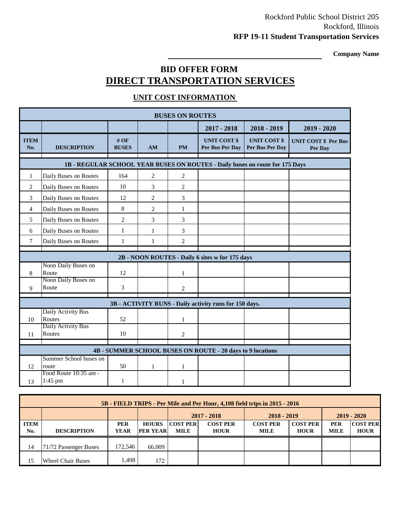Rockford Public School District 205 Rockford, Illinois **RFP 19-11 Student Transportation Services**

**Company Name**

# **BID OFFER FORM DIRECT TRANSPORTATION SERVICES**

#### **UNIT COST INFORMATION**

| <b>BUSES ON ROUTES</b>                                                       |                                                 |                        |                |                |                                                        |                                        |                                        |  |  |  |
|------------------------------------------------------------------------------|-------------------------------------------------|------------------------|----------------|----------------|--------------------------------------------------------|----------------------------------------|----------------------------------------|--|--|--|
|                                                                              | $2017 - 2018$<br>$2018 - 2019$<br>$2019 - 2020$ |                        |                |                |                                                        |                                        |                                        |  |  |  |
| <b>ITEM</b><br>No.                                                           | <b>DESCRIPTION</b>                              | $#$ OF<br><b>BUSES</b> | AM             | <b>PM</b>      | <b>UNIT COST \$</b><br>Per Bus Per Day                 | <b>UNIT COST \$</b><br>Per Bus Per Day | <b>UNIT COST \$ Per Bus</b><br>Per Day |  |  |  |
| 1B - REGULAR SCHOOL YEAR BUSES ON ROUTES - Daily buses on route for 175 Days |                                                 |                        |                |                |                                                        |                                        |                                        |  |  |  |
| 1                                                                            | Daily Buses on Routes                           | 164                    | $\overline{2}$ | $\overline{2}$ |                                                        |                                        |                                        |  |  |  |
| $\overline{2}$                                                               | Daily Buses on Routes                           | 10                     | 3              | $\overline{2}$ |                                                        |                                        |                                        |  |  |  |
| 3                                                                            | Daily Buses on Routes                           | 12                     | $\overline{2}$ | 3              |                                                        |                                        |                                        |  |  |  |
| 4                                                                            | Daily Buses on Routes                           | 8                      | $\overline{2}$ | $\mathbf{1}$   |                                                        |                                        |                                        |  |  |  |
| 5                                                                            | Daily Buses on Routes                           | $\overline{c}$         | 3              | 3              |                                                        |                                        |                                        |  |  |  |
| 6                                                                            | Daily Buses on Routes                           | 1                      | 1              | 3              |                                                        |                                        |                                        |  |  |  |
| $\overline{7}$                                                               | Daily Buses on Routes                           | 1                      | $\mathbf{1}$   | $\overline{2}$ |                                                        |                                        |                                        |  |  |  |
|                                                                              |                                                 |                        |                |                | 2B - NOON ROUTES - Daily 6 sites w for 175 days        |                                        |                                        |  |  |  |
|                                                                              | Noon Daily Buses on                             |                        |                |                |                                                        |                                        |                                        |  |  |  |
| 8                                                                            | Route                                           | 12                     |                | $\mathbf{1}$   |                                                        |                                        |                                        |  |  |  |
| 9                                                                            | Noon Daily Buses on<br>Route                    | 3                      |                | $\overline{c}$ |                                                        |                                        |                                        |  |  |  |
|                                                                              |                                                 |                        |                |                |                                                        |                                        |                                        |  |  |  |
|                                                                              |                                                 |                        |                |                | 3B - ACTIVITY RUNS - Daily activity runs for 150 days. |                                        |                                        |  |  |  |
| 10                                                                           | Daily Activity Bus<br>Routes                    | 52                     |                | 1              |                                                        |                                        |                                        |  |  |  |
| 11                                                                           | Daily Activity Bus<br>Routes                    | 10                     |                | $\overline{c}$ |                                                        |                                        |                                        |  |  |  |
| 4B - SUMMER SCHOOL BUSES ON ROUTE - 20 days to 9 locations                   |                                                 |                        |                |                |                                                        |                                        |                                        |  |  |  |
|                                                                              | Summer School buses on                          |                        |                |                |                                                        |                                        |                                        |  |  |  |
| 12                                                                           | route                                           | 50                     | $\mathbf{1}$   | 1              |                                                        |                                        |                                        |  |  |  |
| 13                                                                           | Food Route 10:35 am -<br>1:45 pm                | $\mathbf{1}$           |                | 1              |                                                        |                                        |                                        |  |  |  |

| 5B - FIELD TRIPS - Per Mile and Per Hour, 4,108 field trips in 2015 - 2016 |                          |                           |                                 |                                |                                |                                |                                |                           |                                |  |
|----------------------------------------------------------------------------|--------------------------|---------------------------|---------------------------------|--------------------------------|--------------------------------|--------------------------------|--------------------------------|---------------------------|--------------------------------|--|
|                                                                            |                          |                           |                                 |                                | $2017 - 2018$                  | $2018 - 2019$                  |                                |                           | $2019 - 2020$                  |  |
| <b>ITEM</b><br>No.                                                         | <b>DESCRIPTION</b>       | <b>PER</b><br><b>YEAR</b> | <b>HOURS</b><br><b>PER YEAR</b> | <b>COST PER</b><br><b>MILE</b> | <b>COST PER</b><br><b>HOUR</b> | <b>COST PER</b><br><b>MILE</b> | <b>COST PER</b><br><b>HOUR</b> | <b>PER</b><br><b>MILE</b> | <b>COST PER</b><br><b>HOUR</b> |  |
| 14                                                                         | 71/72 Passenger Buses    | 172.546                   | 66,009                          |                                |                                |                                |                                |                           |                                |  |
| 15                                                                         | <b>Wheel Chair Buses</b> | .498                      | 172                             |                                |                                |                                |                                |                           |                                |  |